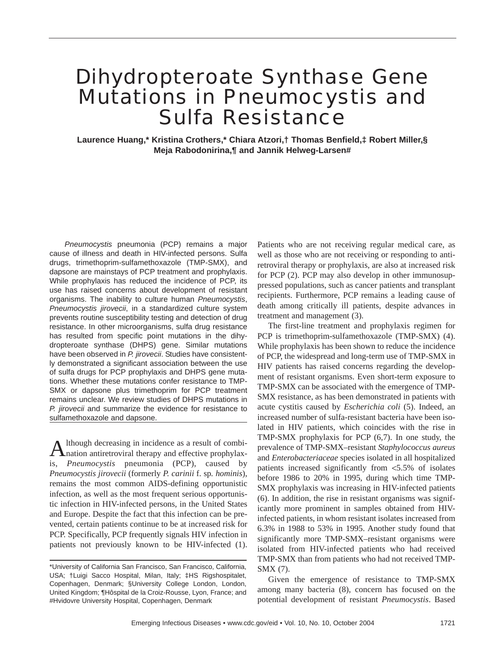# Dihydropteroate Synthase Gene Mutations in *Pneumocystis* and Sulfa Resistance

**Laurence Huang,\* Kristina Crothers,\* Chiara Atzori,† Thomas Benfield,‡ Robert Miller,§ Meja Rabodonirina,¶ and Jannik Helweg-Larsen#**

*Pneumocystis* pneumonia (PCP) remains a major cause of illness and death in HIV-infected persons. Sulfa drugs, trimethoprim-sulfamethoxazole (TMP-SMX), and dapsone are mainstays of PCP treatment and prophylaxis. While prophylaxis has reduced the incidence of PCP, its use has raised concerns about development of resistant organisms. The inability to culture human *Pneumocystis*, *Pneumocystis jirovecii*, in a standardized culture system prevents routine susceptibility testing and detection of drug resistance. In other microorganisms, sulfa drug resistance has resulted from specific point mutations in the dihydropteroate synthase (DHPS) gene. Similar mutations have been observed in *P. jirovecii*. Studies have consistently demonstrated a significant association between the use of sulfa drugs for PCP prophylaxis and DHPS gene mutations. Whether these mutations confer resistance to TMP-SMX or dapsone plus trimethoprim for PCP treatment remains unclear. We review studies of DHPS mutations in *P. jirovecii* and summarize the evidence for resistance to sulfamethoxazole and dapsone.

Although decreasing in incidence as a result of combi-<br>Anation antiretroviral therapy and effective prophylaxis, *Pneumocystis* pneumonia (PCP), caused by *Pneumocystis jirovecii* (formerly *P. carinii* f. sp*. hominis*), remains the most common AIDS-defining opportunistic infection, as well as the most frequent serious opportunistic infection in HIV-infected persons, in the United States and Europe. Despite the fact that this infection can be prevented, certain patients continue to be at increased risk for PCP. Specifically, PCP frequently signals HIV infection in patients not previously known to be HIV-infected (1). Patients who are not receiving regular medical care, as well as those who are not receiving or responding to antiretroviral therapy or prophylaxis, are also at increased risk for PCP (2). PCP may also develop in other immunosuppressed populations, such as cancer patients and transplant recipients. Furthermore, PCP remains a leading cause of death among critically ill patients, despite advances in treatment and management (3).

The first-line treatment and prophylaxis regimen for PCP is trimethoprim-sulfamethoxazole (TMP-SMX) (4). While prophylaxis has been shown to reduce the incidence of PCP, the widespread and long-term use of TMP-SMX in HIV patients has raised concerns regarding the development of resistant organisms. Even short-term exposure to TMP-SMX can be associated with the emergence of TMP-SMX resistance, as has been demonstrated in patients with acute cystitis caused by *Escherichia coli* (5). Indeed, an increased number of sulfa-resistant bacteria have been isolated in HIV patients, which coincides with the rise in TMP-SMX prophylaxis for PCP (6,7). In one study, the prevalence of TMP-SMX–resistant *Staphylococcus aureus* and *Enterobacteriaceae* species isolated in all hospitalized patients increased significantly from <5.5% of isolates before 1986 to 20% in 1995, during which time TMP-SMX prophylaxis was increasing in HIV-infected patients (6). In addition, the rise in resistant organisms was significantly more prominent in samples obtained from HIVinfected patients, in whom resistant isolates increased from 6.3% in 1988 to 53% in 1995. Another study found that significantly more TMP-SMX–resistant organisms were isolated from HIV-infected patients who had received TMP-SMX than from patients who had not received TMP-SMX (7).

Given the emergence of resistance to TMP-SMX among many bacteria (8), concern has focused on the potential development of resistant *Pneumocystis*. Based

<sup>\*</sup>University of California San Francisco, San Francisco, California, USA; †Luigi Sacco Hospital, Milan, Italy; ‡HS Rigshospitalet, Copenhagen, Denmark; §University College London, London, United Kingdom; ¶Hôspital de la Croiz-Rousse, Lyon, France; and #Hvidovre University Hospital, Copenhagen, Denmark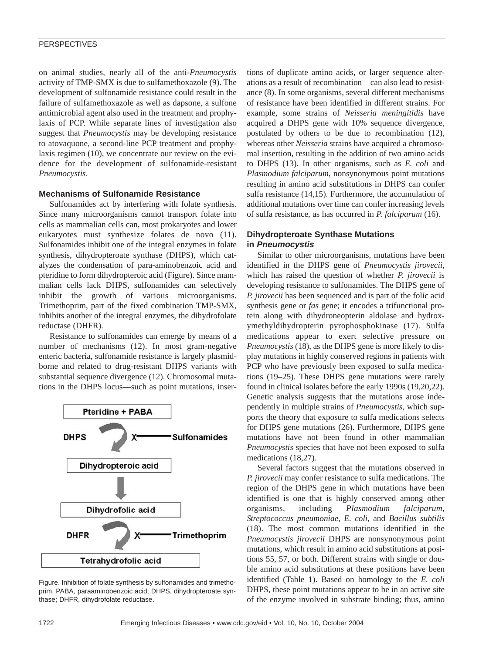on animal studies, nearly all of the anti-*Pneumocystis* activity of TMP-SMX is due to sulfamethoxazole (9). The development of sulfonamide resistance could result in the failure of sulfamethoxazole as well as dapsone, a sulfone antimicrobial agent also used in the treatment and prophylaxis of PCP. While separate lines of investigation also suggest that *Pneumocystis* may be developing resistance to atovaquone, a second-line PCP treatment and prophylaxis regimen (10), we concentrate our review on the evidence for the development of sulfonamide-resistant *Pneumocystis*.

## **Mechanisms of Sulfonamide Resistance**

Sulfonamides act by interfering with folate synthesis. Since many microorganisms cannot transport folate into cells as mammalian cells can, most prokaryotes and lower eukaryotes must synthesize folates de novo (11). Sulfonamides inhibit one of the integral enzymes in folate synthesis, dihydropteroate synthase (DHPS), which catalyzes the condensation of para-aminobenzoic acid and pteridine to form dihydropteroic acid (Figure). Since mammalian cells lack DHPS, sulfonamides can selectively inhibit the growth of various microorganisms. Trimethoprim, part of the fixed combination TMP-SMX, inhibits another of the integral enzymes, the dihydrofolate reductase (DHFR).

Resistance to sulfonamides can emerge by means of a number of mechanisms (12). In most gram-negative enteric bacteria, sulfonamide resistance is largely plasmidborne and related to drug-resistant DHPS variants with substantial sequence divergence (12). Chromosomal mutations in the DHPS locus—such as point mutations, inser-



Figure. Inhibition of folate synthesis by sulfonamides and trimethoprim. PABA, paraaminobenzoic acid; DHPS, dihydropteroate synthase; DHFR, dihydrofolate reductase.

tions of duplicate amino acids, or larger sequence alterations as a result of recombination—can also lead to resistance (8). In some organisms, several different mechanisms of resistance have been identified in different strains. For example, some strains of *Neisseria meningitidis* have acquired a DHPS gene with 10% sequence divergence, postulated by others to be due to recombination (12), whereas other *Neisseria* strains have acquired a chromosomal insertion, resulting in the addition of two amino acids to DHPS (13). In other organisms, such as *E. coli* and *Plasmodium falciparum*, nonsynonymous point mutations resulting in amino acid substitutions in DHPS can confer sulfa resistance (14,15). Furthermore, the accumulation of additional mutations over time can confer increasing levels of sulfa resistance, as has occurred in *P. falciparum* (16).

## **Dihydropteroate Synthase Mutations in** *Pneumocystis*

Similar to other microorganisms, mutations have been identified in the DHPS gene of *Pneumocystis jirovecii*, which has raised the question of whether *P. jirovecii* is developing resistance to sulfonamides. The DHPS gene of *P. jirovecii* has been sequenced and is part of the folic acid synthesis gene or *fas* gene; it encodes a trifunctional protein along with dihydroneopterin aldolase and hydroxymethyldihydropterin pyrophosphokinase (17). Sulfa medications appear to exert selective pressure on *Pneumocystis* (18), as the DHPS gene is more likely to display mutations in highly conserved regions in patients with PCP who have previously been exposed to sulfa medications (19–25). These DHPS gene mutations were rarely found in clinical isolates before the early 1990s (19,20,22). Genetic analysis suggests that the mutations arose independently in multiple strains of *Pneumocystis*, which supports the theory that exposure to sulfa medications selects for DHPS gene mutations (26). Furthermore, DHPS gene mutations have not been found in other mammalian *Pneumocystis* species that have not been exposed to sulfa medications (18,27).

Several factors suggest that the mutations observed in *P. jirovecii* may confer resistance to sulfa medications. The region of the DHPS gene in which mutations have been identified is one that is highly conserved among other organisms, including *Plasmodium falciparum*, *Streptococcus pneumoniae*, *E. coli*, and *Bacillus subtilis* (18). The most common mutations identified in the *Pneumocystis jirovecii* DHPS are nonsynonymous point mutations, which result in amino acid substitutions at positions 55, 57, or both. Different strains with single or double amino acid substitutions at these positions have been identified (Table 1). Based on homology to the *E. coli* DHPS, these point mutations appear to be in an active site of the enzyme involved in substrate binding; thus, amino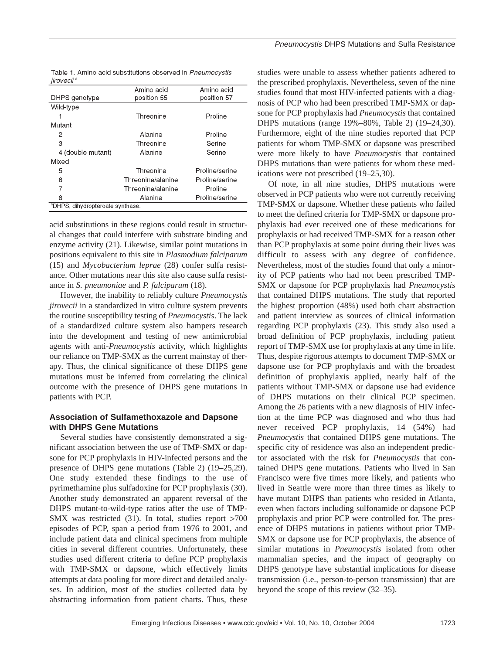|                        | Table 1. Amino acid substitutions observed in Pneumocystis |  |
|------------------------|------------------------------------------------------------|--|
| jirovecii <sup>a</sup> |                                                            |  |

|                                              | Amino acid        | Amino acid     |  |  |
|----------------------------------------------|-------------------|----------------|--|--|
| DHPS genotype                                | position 55       | position 57    |  |  |
| Wild-type                                    |                   |                |  |  |
|                                              | Threonine         | Proline        |  |  |
| Mutant                                       |                   |                |  |  |
| 2                                            | Alanine           | Proline        |  |  |
| 3                                            | Threonine         | Serine         |  |  |
| 4 (double mutant)                            | Alanine           | Serine         |  |  |
| Mixed                                        |                   |                |  |  |
| 5                                            | Threonine         | Proline/serine |  |  |
| 6                                            | Threonine/alanine | Proline/serine |  |  |
| 7                                            | Threonine/alanine | Proline        |  |  |
| 8                                            | Alanine           | Proline/serine |  |  |
| <sup>a</sup> DHPS, dihydropteroate synthase. |                   |                |  |  |

acid substitutions in these regions could result in structural changes that could interfere with substrate binding and enzyme activity (21). Likewise, similar point mutations in positions equivalent to this site in *Plasmodium falciparum* (15) and *Mycobacterium leprae* (28) confer sulfa resistance. Other mutations near this site also cause sulfa resistance in *S. pneumoniae* and *P. falciparum* (18).

However, the inability to reliably culture *Pneumocystis jirovecii* in a standardized in vitro culture system prevents the routine susceptibility testing of *Pneumocystis*. The lack of a standardized culture system also hampers research into the development and testing of new antimicrobial agents with anti-*Pneumocystis* activity, which highlights our reliance on TMP-SMX as the current mainstay of therapy. Thus, the clinical significance of these DHPS gene mutations must be inferred from correlating the clinical outcome with the presence of DHPS gene mutations in patients with PCP.

## **Association of Sulfamethoxazole and Dapsone with DHPS Gene Mutations**

Several studies have consistently demonstrated a significant association between the use of TMP-SMX or dapsone for PCP prophylaxis in HIV-infected persons and the presence of DHPS gene mutations (Table 2) (19–25,29). One study extended these findings to the use of pyrimethamine plus sulfadoxine for PCP prophylaxis (30). Another study demonstrated an apparent reversal of the DHPS mutant-to-wild-type ratios after the use of TMP-SMX was restricted (31). In total, studies report >700 episodes of PCP, span a period from 1976 to 2001, and include patient data and clinical specimens from multiple cities in several different countries. Unfortunately, these studies used different criteria to define PCP prophylaxis with TMP-SMX or dapsone, which effectively limits attempts at data pooling for more direct and detailed analyses. In addition, most of the studies collected data by abstracting information from patient charts. Thus, these

studies were unable to assess whether patients adhered to the prescribed prophylaxis. Nevertheless, seven of the nine studies found that most HIV-infected patients with a diagnosis of PCP who had been prescribed TMP-SMX or dapsone for PCP prophylaxis had *Pneumocystis* that contained DHPS mutations (range 19%–80%, Table 2) (19–24,30). Furthermore, eight of the nine studies reported that PCP patients for whom TMP-SMX or dapsone was prescribed were more likely to have *Pneumocystis* that contained DHPS mutations than were patients for whom these medications were not prescribed (19–25,30).

Of note, in all nine studies, DHPS mutations were observed in PCP patients who were not currently receiving TMP-SMX or dapsone. Whether these patients who failed to meet the defined criteria for TMP-SMX or dapsone prophylaxis had ever received one of these medications for prophylaxis or had received TMP-SMX for a reason other than PCP prophylaxis at some point during their lives was difficult to assess with any degree of confidence. Nevertheless, most of the studies found that only a minority of PCP patients who had not been prescribed TMP-SMX or dapsone for PCP prophylaxis had *Pneumocystis* that contained DHPS mutations. The study that reported the highest proportion (48%) used both chart abstraction and patient interview as sources of clinical information regarding PCP prophylaxis (23). This study also used a broad definition of PCP prophylaxis, including patient report of TMP-SMX use for prophylaxis at any time in life. Thus, despite rigorous attempts to document TMP-SMX or dapsone use for PCP prophylaxis and with the broadest definition of prophylaxis applied, nearly half of the patients without TMP-SMX or dapsone use had evidence of DHPS mutations on their clinical PCP specimen. Among the 26 patients with a new diagnosis of HIV infection at the time PCP was diagnosed and who thus had never received PCP prophylaxis, 14 (54%) had *Pneumocystis* that contained DHPS gene mutations. The specific city of residence was also an independent predictor associated with the risk for *Pneumocystis* that contained DHPS gene mutations. Patients who lived in San Francisco were five times more likely, and patients who lived in Seattle were more than three times as likely to have mutant DHPS than patients who resided in Atlanta, even when factors including sulfonamide or dapsone PCP prophylaxis and prior PCP were controlled for. The presence of DHPS mutations in patients without prior TMP-SMX or dapsone use for PCP prophylaxis, the absence of similar mutations in *Pneumocystis* isolated from other mammalian species, and the impact of geography on DHPS genotype have substantial implications for disease transmission (i.e., person-to-person transmission) that are beyond the scope of this review (32–35).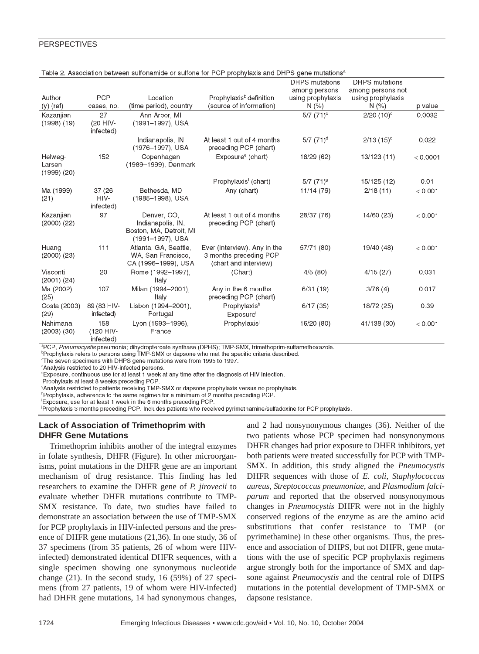|                                      |                               |                                                                                 |                                                                                 | <b>DHPS</b> mutations | <b>DHPS</b> mutations      |          |
|--------------------------------------|-------------------------------|---------------------------------------------------------------------------------|---------------------------------------------------------------------------------|-----------------------|----------------------------|----------|
| Author                               | <b>PCP</b>                    | Location                                                                        | Prophylaxis <sup>b</sup> definition                                             | among persons         | among persons not          |          |
| $(y)$ (ref)                          | cases, no.                    | (time period), country                                                          | (source of information)                                                         | using prophylaxis     | using prophylaxis<br>N(% ) | p value  |
|                                      | 27                            |                                                                                 |                                                                                 | N(% )                 |                            |          |
| Kazanjian                            | (20 HIV-                      | Ann Arbor, MI                                                                   |                                                                                 | $5/7$ $(71)$ °        | $2/20$ (10) <sup>c</sup>   | 0.0032   |
| $(1998)$ $(19)$                      | infected)                     | (1991-1997), USA                                                                |                                                                                 |                       |                            |          |
|                                      |                               | Indianapolis, IN<br>(1976-1997), USA                                            | At least 1 out of 4 months<br>preceding PCP (chart)                             | $5/7$ $(71)^d$        | $2/13(15)^d$               | 0.022    |
| Helweg-<br>Larsen<br>$(1999)$ $(20)$ | 152                           | Copenhagen<br>(1989-1999), Denmark                                              | Exposure <sup>e</sup> (chart)                                                   | 18/29 (62)            | 13/123 (11)                | < 0.0001 |
|                                      |                               |                                                                                 | Prophylaxis <sup>f</sup> (chart)                                                | $5/7$ $(71)^9$        | 15/125 (12)                | 0.01     |
| Ma (1999)                            | 37 (26)                       | Bethesda, MD                                                                    | Any (chart)                                                                     | 11/14 (79)            | 2/18(11)                   | < 0.001  |
| (21)                                 | HIV-<br>infected)             | (1985-1998), USA                                                                |                                                                                 |                       |                            |          |
| Kazanjian<br>$(2000)$ $(22)$         | 97                            | Denver, CO,<br>Indianapolis, IN.<br>Boston, MA, Detroit, MI<br>(1991-1997), USA | At least 1 out of 4 months<br>preceding PCP (chart)                             | 28/37 (76)            | 14/60 (23)                 | < 0.001  |
| Huang<br>$(2000)$ $(23)$             | 111                           | Atlanta, GA, Seattle,<br>WA, San Francisco,<br>CA (1996-1999), USA              | Ever (interview), Any in the<br>3 months preceding PCP<br>(chart and interview) | 57/71 (80)            | 19/40 (48)                 | < 0.001  |
| Visconti<br>$(2001)$ $(24)$          | 20                            | Rome (1992-1997),<br>Italy                                                      | (Chart)                                                                         | 4/5(80)               | 4/15(27)                   | 0.031    |
| Ma (2002)<br>(25)                    | 107                           | Milan (1994-2001),<br>Italy                                                     | Any in the 6 months<br>preceding PCP (chart)                                    | 6/31(19)              | 3/76(4)                    | 0.017    |
| Costa (2003)<br>(29)                 | 89 (83 HIV-<br>infected)      | Lisbon (1994-2001),<br>Portugal                                                 | Prophylaxish<br><b>Exposure</b>                                                 | 6/17(35)              | 18/72 (25)                 | 0.39     |
| Nahimana<br>$(2003)$ $(30)$          | 158<br>(120 HIV-<br>infected) | Lyon (1993-1996),<br>France                                                     | Prophylaxis                                                                     | 16/20 (80)            | 41/138 (30)                | < 0.001  |

| Table 2. Association between sulfonamide or sulfone for PCP prophylaxis and DHPS gene mutations <sup>a</sup> |  |  |
|--------------------------------------------------------------------------------------------------------------|--|--|
|                                                                                                              |  |  |

<sup>a</sup>PCP, Pneumocystis pneumonia; dihydropteroate synthase (DPHS); TMP-SMX, trimethoprim-sulfamethoxazole.

Prophylaxis refers to persons using TMP-SMX or dapsone who met the specific criteria described.

<sup>c</sup>The seven specimens with DHPS gene mutations were from 1995 to 1997.

<sup>d</sup>Analysis restricted to 20 HIV-infected persons.

*exposure, continuous use for at least 1 week at any time after the diagnosis of HIV infection.* 

Prophylaxis at least 8 weeks preceding PCP

<sup>9</sup>Analysis restricted to patients receiving TMP-SMX or dapsone prophylaxis versus no prophylaxis.

<sup>h</sup>Prophylaxis, adherence to the same regimen for a minimum of 2 months preceding PCP.

'Exposure, use for at least 1 week in the 6 months preceding PCP

Prophylaxis 3 months preceding PCP. Includes patients who received pyrimethamine/sulfadoxine for PCP prophylaxis.

## **Lack of Association of Trimethoprim with DHFR Gene Mutations**

Trimethoprim inhibits another of the integral enzymes in folate synthesis, DHFR (Figure). In other microorganisms, point mutations in the DHFR gene are an important mechanism of drug resistance. This finding has led researchers to examine the DHFR gene of *P. jirovecii* to evaluate whether DHFR mutations contribute to TMP-SMX resistance. To date, two studies have failed to demonstrate an association between the use of TMP-SMX for PCP prophylaxis in HIV-infected persons and the presence of DHFR gene mutations (21,36). In one study, 36 of 37 specimens (from 35 patients, 26 of whom were HIVinfected) demonstrated identical DHFR sequences, with a single specimen showing one synonymous nucleotide change (21). In the second study, 16 (59%) of 27 specimens (from 27 patients, 19 of whom were HIV-infected) had DHFR gene mutations, 14 had synonymous changes,

and 2 had nonsynonymous changes (36). Neither of the two patients whose PCP specimen had nonsynonymous DHFR changes had prior exposure to DHFR inhibitors, yet both patients were treated successfully for PCP with TMP-SMX. In addition, this study aligned the *Pneumocystis* DHFR sequences with those of *E. coli*, *Staphylococcus aureus*, *Streptococcus pneumoniae*, and *Plasmodium falciparum* and reported that the observed nonsynonymous changes in *Pneumocystis* DHFR were not in the highly conserved regions of the enzyme as are the amino acid substitutions that confer resistance to TMP (or pyrimethamine) in these other organisms. Thus, the presence and association of DHPS, but not DHFR, gene mutations with the use of specific PCP prophylaxis regimens argue strongly both for the importance of SMX and dapsone against *Pneumocystis* and the central role of DHPS mutations in the potential development of TMP-SMX or dapsone resistance.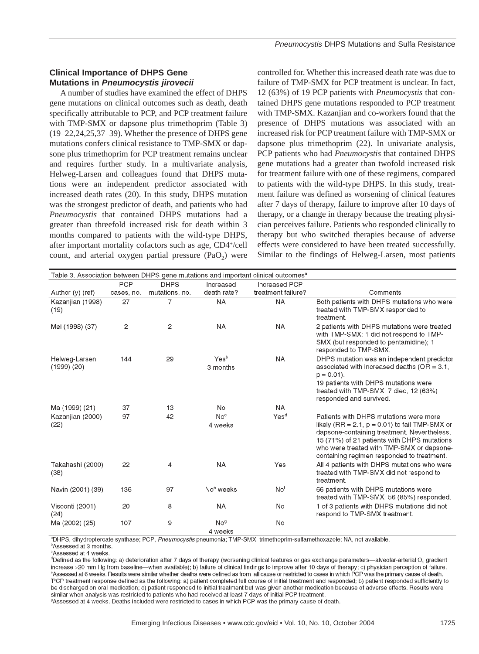# **Clinical Importance of DHPS Gene Mutations in** *Pneumocystis jirovecii*

A number of studies have examined the effect of DHPS gene mutations on clinical outcomes such as death, death specifically attributable to PCP, and PCP treatment failure with TMP-SMX or dapsone plus trimethoprim (Table 3) (19–22,24,25,37–39). Whether the presence of DHPS gene mutations confers clinical resistance to TMP-SMX or dapsone plus trimethoprim for PCP treatment remains unclear and requires further study. In a multivariate analysis, Helweg-Larsen and colleagues found that DHPS mutations were an independent predictor associated with increased death rates (20). In this study, DHPS mutation was the strongest predictor of death, and patients who had *Pneumocystis* that contained DHPS mutations had a greater than threefold increased risk for death within 3 months compared to patients with the wild-type DHPS, after important mortality cofactors such as age, CD4+/cell count, and arterial oxygen partial pressure  $(PaO<sub>2</sub>)$  were

controlled for. Whether this increased death rate was due to failure of TMP-SMX for PCP treatment is unclear. In fact, 12 (63%) of 19 PCP patients with *Pneumocystis* that contained DHPS gene mutations responded to PCP treatment with TMP-SMX. Kazanjian and co-workers found that the presence of DHPS mutations was associated with an increased risk for PCP treatment failure with TMP-SMX or dapsone plus trimethoprim (22). In univariate analysis, PCP patients who had *Pneumocystis* that contained DHPS gene mutations had a greater than twofold increased risk for treatment failure with one of these regimens, compared to patients with the wild-type DHPS. In this study, treatment failure was defined as worsening of clinical features after 7 days of therapy, failure to improve after 10 days of therapy, or a change in therapy because the treating physician perceives failure. Patients who responded clinically to therapy but who switched therapies because of adverse effects were considered to have been treated successfully. Similar to the findings of Helweg-Larsen, most patients

| Table 3. Association between DHPS gene mutations and important clinical outcomes <sup>a</sup> |                |                |                                   |                    |                                                                                                                                                                                                                                                                                      |
|-----------------------------------------------------------------------------------------------|----------------|----------------|-----------------------------------|--------------------|--------------------------------------------------------------------------------------------------------------------------------------------------------------------------------------------------------------------------------------------------------------------------------------|
|                                                                                               | <b>PCP</b>     | <b>DHPS</b>    | Increased                         | Increased PCP      |                                                                                                                                                                                                                                                                                      |
| Author (y) (ref)                                                                              | cases, no.     | mutations, no. | death rate?                       | treatment failure? | Comments                                                                                                                                                                                                                                                                             |
| Kazanjian (1998)<br>(19)                                                                      | 27             | 7              | <b>NA</b>                         | <b>NA</b>          | Both patients with DHPS mutations who were<br>treated with TMP-SMX responded to<br>treatment.                                                                                                                                                                                        |
| Mei (1998) (37)                                                                               | $\overline{c}$ | $\mathbf{2}$   | <b>NA</b>                         | <b>NA</b>          | 2 patients with DHPS mutations were treated<br>with TMP-SMX: 1 did not respond to TMP-<br>SMX (but responded to pentamidine); 1<br>responded to TMP-SMX.                                                                                                                             |
| Helweg-Larsen<br>(1999)(20)                                                                   | 144            | 29             | Yesb<br>3 months                  | <b>NA</b>          | DHPS mutation was an independent predictor<br>associated with increased deaths ( $OR = 3.1$ ,<br>$p = 0.01$ .                                                                                                                                                                        |
|                                                                                               |                |                |                                   |                    | 19 patients with DHPS mutations were<br>treated with TMP-SMX: 7 died; 12 (63%)<br>responded and survived.                                                                                                                                                                            |
| Ma (1999) (21)                                                                                | 37             | 13             | No                                | <b>NA</b>          |                                                                                                                                                                                                                                                                                      |
| Kazanjian (2000)<br>(22)                                                                      | 97             | 42             | No <sup>c</sup><br>4 weeks        | Yes <sup>d</sup>   | Patients with DHPS mutations were more<br>likely (RR = 2.1, $p = 0.01$ ) to fail TMP-SMX or<br>dapsone-containing treatment. Nevertheless,<br>15 (71%) of 21 patients with DHPS mutations<br>who were treated with TMP-SMX or dapsone-<br>containing regimen responded to treatment. |
| Takahashi (2000)<br>(38)                                                                      | 22             | 4              | <b>NA</b>                         | Yes                | All 4 patients with DHPS mutations who were<br>treated with TMP-SMX did not respond to<br>treatment.                                                                                                                                                                                 |
| Navin (2001) (39)                                                                             | 136            | 97             | No <sup>e</sup> weeks             | No <sup>f</sup>    | 66 patients with DHPS mutations were<br>treated with TMP-SMX: 56 (85%) responded.                                                                                                                                                                                                    |
| Visconti (2001)<br>(24)                                                                       | 20             | 8              | <b>NA</b>                         | <b>No</b>          | 1 of 3 patients with DHPS mutations did not<br>respond to TMP-SMX treatment.                                                                                                                                                                                                         |
| Ma (2002) (25)                                                                                | 107            | 9              | No <sup>9</sup><br>4 <i>weeks</i> | No                 |                                                                                                                                                                                                                                                                                      |

<sup>a</sup>DHPS, dihydropteroate synthase; PCP, Pneumocystis pneumonia; TMP-SMX, trimethoprim-sulfamethoxazole; NA, not available.

<sup>⊳</sup>Assessed at 3 months. <sup>c</sup>Assessed at 4 weeks.

 $^4$ Defined as the following: a) deterioration after 7 days of therapy (worsening clinical features or gas exchange parameters—alveolar-arterial O $_2$  gradient increase >20 mm Hg from baseline—when available); b) failure of clinical findings to improve after 10 days of therapy; c) physician perception of failure. <sup>e</sup>Assessed at 6 weeks. Results were similar whether deaths were defined as from all cause or restricted to cases in which PCP was the primary cause of death. PCP treatment response defined as the following: a) patient completed full course of initial treatment and responded; b) patient responded sufficiently to be discharged on oral medication; c) patient responded to initial treatment but was given another medication because of adverse effects. Results were similar when analysis was restricted to patients who had received at least 7 days of initial PCP treatment.

<sup>9</sup>Assessed at 4 weeks. Deaths included were restricted to cases in which PCP was the primary cause of death.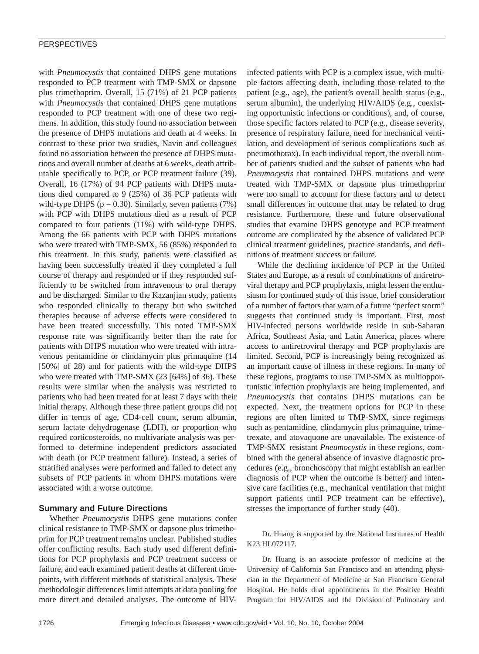with *Pneumocystis* that contained DHPS gene mutations responded to PCP treatment with TMP-SMX or dapsone plus trimethoprim. Overall, 15 (71%) of 21 PCP patients with *Pneumocystis* that contained DHPS gene mutations responded to PCP treatment with one of these two regimens. In addition, this study found no association between the presence of DHPS mutations and death at 4 weeks. In contrast to these prior two studies, Navin and colleagues found no association between the presence of DHPS mutations and overall number of deaths at 6 weeks, death attributable specifically to PCP, or PCP treatment failure (39). Overall, 16 (17%) of 94 PCP patients with DHPS mutations died compared to 9 (25%) of 36 PCP patients with wild-type DHPS ( $p = 0.30$ ). Similarly, seven patients (7%) with PCP with DHPS mutations died as a result of PCP compared to four patients (11%) with wild-type DHPS. Among the 66 patients with PCP with DHPS mutations who were treated with TMP-SMX, 56 (85%) responded to this treatment. In this study, patients were classified as having been successfully treated if they completed a full course of therapy and responded or if they responded sufficiently to be switched from intravenous to oral therapy and be discharged. Similar to the Kazanjian study, patients who responded clinically to therapy but who switched therapies because of adverse effects were considered to have been treated successfully. This noted TMP-SMX response rate was significantly better than the rate for patients with DHPS mutation who were treated with intravenous pentamidine or clindamycin plus primaquine (14 [50%] of 28) and for patients with the wild-type DHPS who were treated with TMP-SMX (23 [64%] of 36). These results were similar when the analysis was restricted to patients who had been treated for at least 7 days with their initial therapy. Although these three patient groups did not differ in terms of age, CD4-cell count, serum albumin, serum lactate dehydrogenase (LDH), or proportion who required corticosteroids, no multivariate analysis was performed to determine independent predictors associated with death (or PCP treatment failure). Instead, a series of stratified analyses were performed and failed to detect any subsets of PCP patients in whom DHPS mutations were associated with a worse outcome.

## **Summary and Future Directions**

Whether *Pneumocystis* DHPS gene mutations confer clinical resistance to TMP-SMX or dapsone plus trimethoprim for PCP treatment remains unclear. Published studies offer conflicting results. Each study used different definitions for PCP prophylaxis and PCP treatment success or failure, and each examined patient deaths at different timepoints, with different methods of statistical analysis. These methodologic differences limit attempts at data pooling for more direct and detailed analyses. The outcome of HIV-

infected patients with PCP is a complex issue, with multiple factors affecting death, including those related to the patient (e.g., age), the patient's overall health status (e.g., serum albumin), the underlying HIV/AIDS (e.g., coexisting opportunistic infections or conditions), and, of course, those specific factors related to PCP (e.g., disease severity, presence of respiratory failure, need for mechanical ventilation, and development of serious complications such as pneumothorax). In each individual report, the overall number of patients studied and the subset of patients who had *Pneumocystis* that contained DHPS mutations and were treated with TMP-SMX or dapsone plus trimethoprim were too small to account for these factors and to detect small differences in outcome that may be related to drug resistance. Furthermore, these and future observational studies that examine DHPS genotype and PCP treatment outcome are complicated by the absence of validated PCP clinical treatment guidelines, practice standards, and definitions of treatment success or failure.

While the declining incidence of PCP in the United States and Europe, as a result of combinations of antiretroviral therapy and PCP prophylaxis, might lessen the enthusiasm for continued study of this issue, brief consideration of a number of factors that warn of a future "perfect storm" suggests that continued study is important. First, most HIV-infected persons worldwide reside in sub-Saharan Africa, Southeast Asia, and Latin America, places where access to antiretroviral therapy and PCP prophylaxis are limited. Second, PCP is increasingly being recognized as an important cause of illness in these regions. In many of these regions, programs to use TMP-SMX as multiopportunistic infection prophylaxis are being implemented, and *Pneumocystis* that contains DHPS mutations can be expected. Next, the treatment options for PCP in these regions are often limited to TMP-SMX, since regimens such as pentamidine, clindamycin plus primaquine, trimetrexate, and atovaquone are unavailable. The existence of TMP-SMX–resistant *Pneumocystis* in these regions, combined with the general absence of invasive diagnostic procedures (e.g., bronchoscopy that might establish an earlier diagnosis of PCP when the outcome is better) and intensive care facilities (e.g., mechanical ventilation that might support patients until PCP treatment can be effective), stresses the importance of further study (40).

Dr. Huang is supported by the National Institutes of Health K23 HL072117.

Dr. Huang is an associate professor of medicine at the University of California San Francisco and an attending physician in the Department of Medicine at San Francisco General Hospital. He holds dual appointments in the Positive Health Program for HIV/AIDS and the Division of Pulmonary and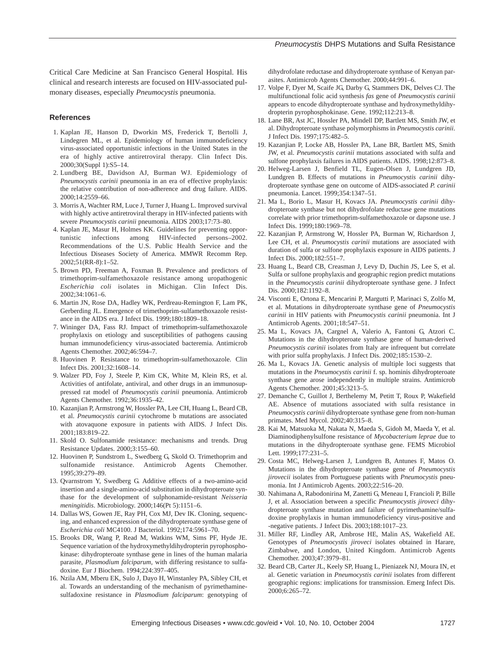#### *Pneumocystis* DHPS Mutations and Sulfa Resistance

Critical Care Medicine at San Francisco General Hospital. His clinical and research interests are focused on HIV-associated pulmonary diseases, especially *Pneumocystis* pneumonia.

### **References**

- 1. Kaplan JE, Hanson D, Dworkin MS, Frederick T, Bertolli J, Lindegren ML, et al. Epidemiology of human immunodeficiency virus-associated opportunistic infections in the United States in the era of highly active antiretroviral therapy. Clin Infect Dis. 2000;30(Suppl 1):S5–14.
- 2. Lundberg BE, Davidson AJ, Burman WJ. Epidemiology of *Pneumocystis carinii* pneumonia in an era of effective prophylaxis: the relative contribution of non-adherence and drug failure. AIDS. 2000;14:2559–66.
- 3. Morris A, Wachter RM, Luce J, Turner J, Huang L. Improved survival with highly active antiretroviral therapy in HIV-infected patients with severe *Pneumocystis carinii* pneumonia. AIDS 2003;17:73–80.
- 4. Kaplan JE, Masur H, Holmes KK. Guidelines for preventing opportunistic infections among HIV-infected persons–2002. Recommendations of the U.S. Public Health Service and the Infectious Diseases Society of America. MMWR Recomm Rep. 2002;51(RR-8):1–52.
- 5. Brown PD, Freeman A, Foxman B. Prevalence and predictors of trimethoprim-sulfamethoxazole resistance among uropathogenic *Escherichia coli* isolates in Michigan. Clin Infect Dis. 2002;34:1061–6.
- 6. Martin JN, Rose DA, Hadley WK, Perdreau-Remington F, Lam PK, Gerberding JL. Emergence of trimethoprim-sulfamethoxazole resistance in the AIDS era. J Infect Dis. 1999;180:1809–18.
- 7. Wininger DA, Fass RJ. Impact of trimethoprim-sulfamethoxazole prophylaxis on etiology and susceptibilities of pathogens causing human immunodeficiency virus-associated bacteremia. Antimicrob Agents Chemother. 2002;46:594–7.
- 8. Huovinen P. Resistance to trimethoprim-sulfamethoxazole. Clin Infect Dis. 2001;32:1608–14.
- 9. Walzer PD, Foy J, Steele P, Kim CK, White M, Klein RS, et al. Activities of antifolate, antiviral, and other drugs in an immunosuppressed rat model of *Pneumocystis carinii* pneumonia. Antimicrob Agents Chemother. 1992;36:1935–42.
- 10. Kazanjian P, Armstrong W, Hossler PA, Lee CH, Huang L, Beard CB, et al. *Pneumocystis carinii* cytochrome b mutations are associated with atovaquone exposure in patients with AIDS. J Infect Dis. 2001;183:819–22.
- 11. Skold O. Sulfonamide resistance: mechanisms and trends. Drug Resistance Updates. 2000;3:155–60.
- 12. Huovinen P, Sundstrom L, Swedberg G, Skold O. Trimethoprim and sulfonamide resistance. Antimicrob Agents Chemother. 1995;39:279–89.
- 13. Qvarnstrom Y, Swedberg G. Additive effects of a two-amino-acid insertion and a single-amino-acid substitution in dihydropteroate synthase for the development of sulphonamide-resistant *Neisseria meningitidis*. Microbiology. 2000;146(Pt 5):1151–6.
- 14. Dallas WS, Gowen JE, Ray PH, Cox MJ, Dev IK. Cloning, sequencing, and enhanced expression of the dihydropteroate synthase gene of *Escherichia coli* MC4100. J Bacteriol. 1992;174:5961–70.
- 15. Brooks DR, Wang P, Read M, Watkins WM, Sims PF, Hyde JE. Sequence variation of the hydroxymethyldihydropterin pyrophosphokinase: dihydropteroate synthase gene in lines of the human malaria parasite, *Plasmodium falciparum*, with differing resistance to sulfadoxine. Eur J Biochem. 1994;224:397–405.
- 16. Nzila AM, Mberu EK, Sulo J, Dayo H, Winstanley PA, Sibley CH, et al. Towards an understanding of the mechanism of pyrimethaminesulfadoxine resistance in *Plasmodium falciparum*: genotyping of

dihydrofolate reductase and dihydropteroate synthase of Kenyan parasites. Antimicrob Agents Chemother. 2000;44:991–6.

- 17. Volpe F, Dyer M, Scaife JG, Darby G, Stammers DK, Delves CJ. The multifunctional folic acid synthesis *fas* gene of *Pneumocystis carinii* appears to encode dihydropteroate synthase and hydroxymethyldihydropterin pyrophosphokinase. Gene. 1992;112:213–8.
- 18. Lane BR, Ast JC, Hossler PA, Mindell DP, Bartlett MS, Smith JW, et al. Dihydropteroate synthase polymorphisms in *Pneumocystis carinii*. J Infect Dis. 1997;175:482–5.
- 19. Kazanjian P, Locke AB, Hossler PA, Lane BR, Bartlett MS, Smith JW, et al. *Pneumocystis carinii* mutations associated with sulfa and sulfone prophylaxis failures in AIDS patients. AIDS. 1998;12:873–8.
- 20. Helweg-Larsen J, Benfield TL, Eugen-Olsen J, Lundgren JD, Lundgren B. Effects of mutations in *Pneumocystis carinii* dihydropteroate synthase gene on outcome of AIDS-associated *P. carinii* pneumonia. Lancet. 1999;354:1347–51.
- 21. Ma L, Borio L, Masur H, Kovacs JA. *Pneumocystis carinii* dihydropteroate synthase but not dihydrofolate reductase gene mutations correlate with prior trimethoprim-sulfamethoxazole or dapsone use. J Infect Dis. 1999;180:1969–78.
- 22. Kazanjian P, Armstrong W, Hossler PA, Burman W, Richardson J, Lee CH, et al. *Pneumocystis carinii* mutations are associated with duration of sulfa or sulfone prophylaxis exposure in AIDS patients. J Infect Dis. 2000;182:551–7.
- 23. Huang L, Beard CB, Creasman J, Levy D, Duchin JS, Lee S, et al. Sulfa or sulfone prophylaxis and geographic region predict mutations in the *Pneumocystis carinii* dihydropteroate synthase gene. J Infect Dis. 2000;182:1192–8.
- 24. Visconti E, Ortona E, Mencarini P, Margutti P, Marinaci S, Zolfo M, et al. Mutations in dihydropteroate synthase gene of *Pneumocystis carinii* in HIV patients with *Pneumocystis carinii* pneumonia. Int J Antimicrob Agents. 2001;18:547–51.
- 25. Ma L, Kovacs JA, Cargnel A, Valerio A, Fantoni G, Atzori C. Mutations in the dihydropteroate synthase gene of human-derived *Pneumocystis carinii* isolates from Italy are infrequent but correlate with prior sulfa prophylaxis. J Infect Dis. 2002;185:1530–2.
- 26. Ma L, Kovacs JA. Genetic analysis of multiple loci suggests that mutations in the *Pneumocystis carinii* f. sp. hominis dihydropteroate synthase gene arose independently in multiple strains. Antimicrob Agents Chemother. 2001;45:3213–5.
- 27. Demanche C, Guillot J, Berthelemy M, Petitt T, Roux P, Wakefield AE. Absence of mutations associated with sulfa resistance in *Pneumocystis carinii* dihydropteroate synthase gene from non-human primates. Med Mycol. 2002;40:315–8.
- 28. Kai M, Matsuoka M, Nakata N, Maeda S, Gidoh M, Maeda Y, et al. Diaminodiphenylsulfone resistance of *Mycobacterium leprae* due to mutations in the dihydropteroate synthase gene. FEMS Microbiol Lett. 1999;177:231–5.
- 29. Costa MC, Helweg-Larsen J, Lundgren B, Antunes F, Matos O. Mutations in the dihydropteroate synthase gene of *Pneumocystis jirovecii* isolates from Portuguese patients with *Pneumocystis* pneumonia. Int J Antimicrob Agents. 2003;22:516–20.
- 30. Nahimana A, Rabodonirina M, Zanetti G, Meneau I, Francioli P, Bille J, et al. Association between a specific *Pneumocystis jiroveci* dihydropteroate synthase mutation and failure of pyrimethamine/sulfadoxine prophylaxis in human immunodeficiency virus-positive and -negative patients. J Infect Dis. 2003;188:1017–23.
- 31. Miller RF, Lindley AR, Ambrose HE, Malin AS, Wakefield AE. Genotypes of *Pneumocystis jiroveci* isolates obtained in Harare, Zimbabwe, and London, United Kingdom. Antimicrob Agents Chemother. 2003;47:3979–81.
- 32. Beard CB, Carter JL, Keely SP, Huang L, Pieniazek NJ, Moura IN, et al. Genetic variation in *Pneumocystis carinii* isolates from different geographic regions: implications for transmission. Emerg Infect Dis. 2000;6:265–72.